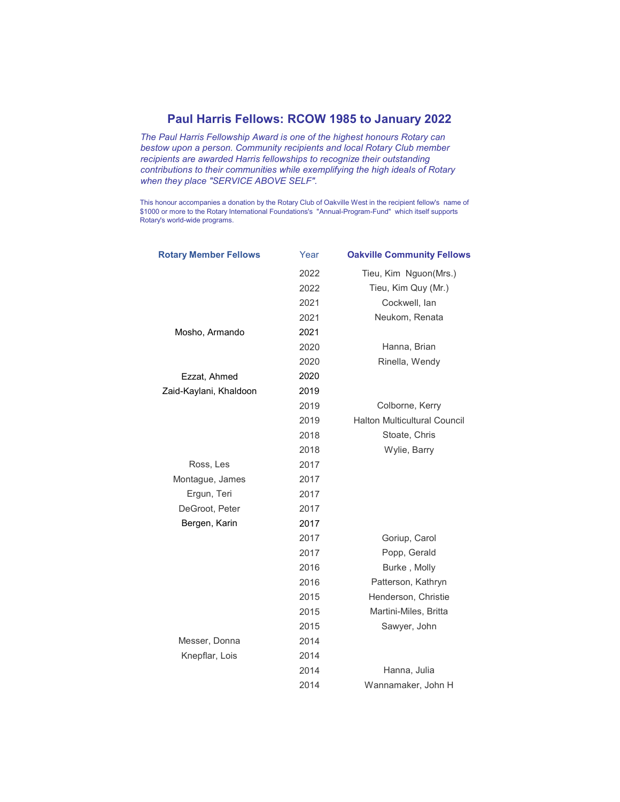## Paul Harris Fellows: RCOW 1985 to January 2022

The Paul Harris Fellowship Award is one of the highest honours Rotary can bestow upon a person. Community recipients and local Rotary Club member recipients are awarded Harris fellowships to recognize their outstanding contributions to their communities while exemplifying the high ideals of Rotary when they place "SERVICE ABOVE SELF".

This honour accompanies a donation by the Rotary Club of Oakville West in the recipient fellow's name of \$1000 or more to the Rotary International Foundations's "Annual-Program-Fund" which itself supports Rotary's world-wide programs.

| <b>Rotary Member Fellows</b> | Year | <b>Oakville Community Fellows</b>   |
|------------------------------|------|-------------------------------------|
|                              | 2022 | Tieu, Kim Nguon(Mrs.)               |
|                              | 2022 | Tieu, Kim Quy (Mr.)                 |
|                              | 2021 | Cockwell, lan                       |
|                              | 2021 | Neukom, Renata                      |
| Mosho, Armando               | 2021 |                                     |
|                              | 2020 | Hanna, Brian                        |
|                              | 2020 | Rinella, Wendy                      |
| Ezzat, Ahmed                 | 2020 |                                     |
| Zaid-Kaylani, Khaldoon       | 2019 |                                     |
|                              | 2019 | Colborne, Kerry                     |
|                              | 2019 | <b>Halton Multicultural Council</b> |
|                              | 2018 | Stoate, Chris                       |
|                              | 2018 | Wylie, Barry                        |
| Ross, Les                    | 2017 |                                     |
| Montague, James              | 2017 |                                     |
| Ergun, Teri                  | 2017 |                                     |
| DeGroot, Peter               | 2017 |                                     |
| Bergen, Karin                | 2017 |                                     |
|                              | 2017 | Goriup, Carol                       |
|                              | 2017 | Popp, Gerald                        |
|                              | 2016 | Burke, Molly                        |
|                              | 2016 | Patterson, Kathryn                  |
|                              | 2015 | Henderson, Christie                 |
|                              | 2015 | Martini-Miles, Britta               |
|                              | 2015 | Sawyer, John                        |
| Messer, Donna                | 2014 |                                     |
| Knepflar, Lois               | 2014 |                                     |
|                              | 2014 | Hanna, Julia                        |
|                              | 2014 | Wannamaker, John H                  |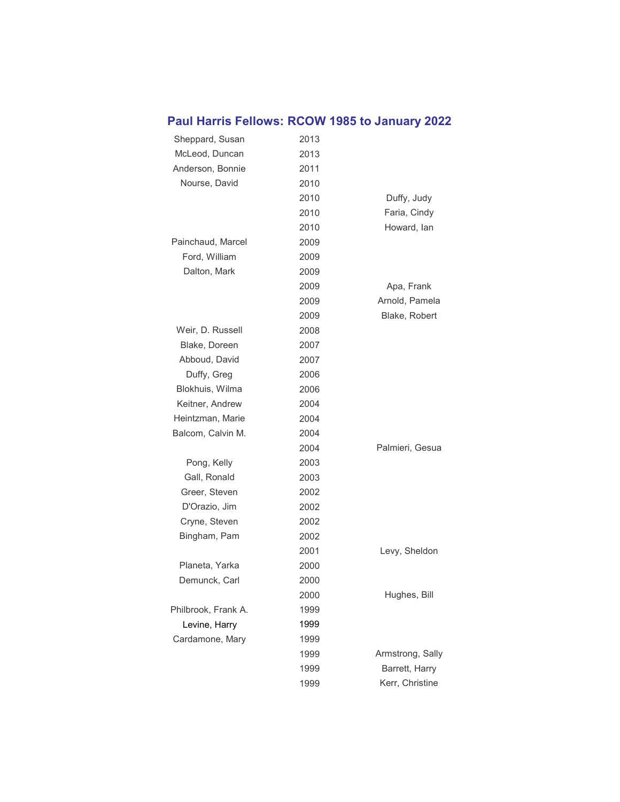## Paul Harris Fellows: RCOW 1985 to January 2022

| Sheppard, Susan     | 2013 |                  |
|---------------------|------|------------------|
| McLeod, Duncan      | 2013 |                  |
| Anderson, Bonnie    | 2011 |                  |
| Nourse, David       | 2010 |                  |
|                     | 2010 | Duffy, Judy      |
|                     | 2010 | Faria, Cindy     |
|                     | 2010 | Howard, Ian      |
| Painchaud, Marcel   | 2009 |                  |
| Ford, William       | 2009 |                  |
| Dalton, Mark        | 2009 |                  |
|                     | 2009 | Apa, Frank       |
|                     | 2009 | Arnold, Pamela   |
|                     | 2009 | Blake, Robert    |
| Weir, D. Russell    | 2008 |                  |
| Blake, Doreen       | 2007 |                  |
| Abboud, David       | 2007 |                  |
| Duffy, Greg         | 2006 |                  |
| Blokhuis, Wilma     | 2006 |                  |
| Keitner, Andrew     | 2004 |                  |
| Heintzman, Marie    | 2004 |                  |
| Balcom, Calvin M.   | 2004 |                  |
|                     | 2004 | Palmieri, Gesua  |
| Pong, Kelly         | 2003 |                  |
| Gall, Ronald        | 2003 |                  |
| Greer, Steven       | 2002 |                  |
| D'Orazio, Jim       | 2002 |                  |
| Cryne, Steven       | 2002 |                  |
| Bingham, Pam        | 2002 |                  |
|                     | 2001 | Levy, Sheldon    |
| Planeta, Yarka      | 2000 |                  |
| Demunck, Carl       | 2000 |                  |
|                     | 2000 | Hughes, Bill     |
| Philbrook, Frank A. | 1999 |                  |
| Levine, Harry       | 1999 |                  |
| Cardamone, Mary     | 1999 |                  |
|                     | 1999 | Armstrong, Sally |
|                     | 1999 | Barrett, Harry   |
|                     | 1999 | Kerr, Christine  |
|                     |      |                  |